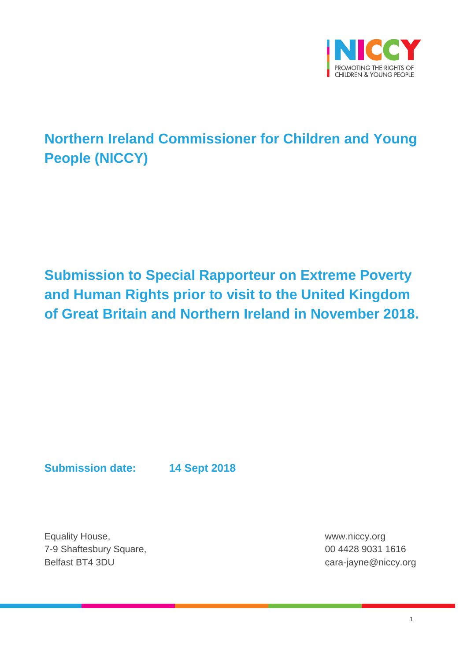

# **Northern Ireland Commissioner for Children and Young People (NICCY)**

**Submission to Special Rapporteur on Extreme Poverty and Human Rights prior to visit to the United Kingdom of Great Britain and Northern Ireland in November 2018.**

# **Submission date: 14 Sept 2018**

Equality House, www.niccy.org 7-9 Shaftesbury Square, 00 4428 9031 1616 Belfast BT4 3DU cara-jayne@niccy.org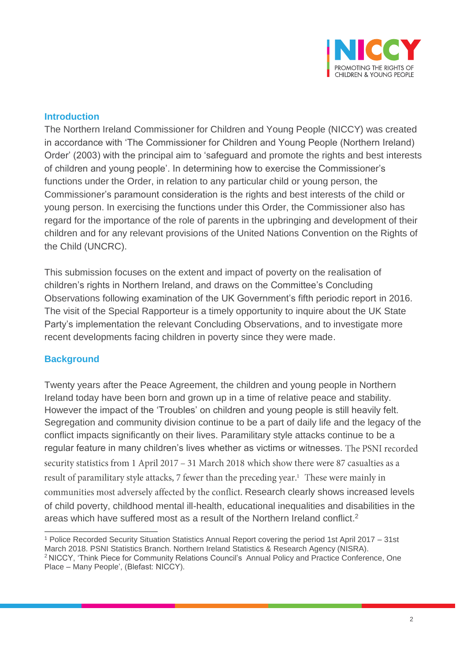

#### **Introduction**

The Northern Ireland Commissioner for Children and Young People (NICCY) was created in accordance with 'The Commissioner for Children and Young People (Northern Ireland) Order' (2003) with the principal aim to 'safeguard and promote the rights and best interests of children and young people'. In determining how to exercise the Commissioner's functions under the Order, in relation to any particular child or young person, the Commissioner's paramount consideration is the rights and best interests of the child or young person. In exercising the functions under this Order, the Commissioner also has regard for the importance of the role of parents in the upbringing and development of their children and for any relevant provisions of the United Nations Convention on the Rights of the Child (UNCRC).

This submission focuses on the extent and impact of poverty on the realisation of children's rights in Northern Ireland, and draws on the Committee's Concluding Observations following examination of the UK Government's fifth periodic report in 2016. The visit of the Special Rapporteur is a timely opportunity to inquire about the UK State Party's implementation the relevant Concluding Observations, and to investigate more recent developments facing children in poverty since they were made.

# **Background**

Twenty years after the Peace Agreement, the children and young people in Northern Ireland today have been born and grown up in a time of relative peace and stability. However the impact of the 'Troubles' on children and young people is still heavily felt. Segregation and community division continue to be a part of daily life and the legacy of the conflict impacts significantly on their lives. Paramilitary style attacks continue to be a regular feature in many children's lives whether as victims or witnesses. The PSNI recorded security statistics from 1 April 2017 - 31 March 2018 which show there were 87 casualties as a result of paramilitary style attacks, 7 fewer than the preceding year.<sup>1</sup> These were mainly in communities most adversely affected by the conflict. Research clearly shows increased levels of child poverty, childhood mental ill-health, educational inequalities and disabilities in the areas which have suffered most as a result of the Northern Ireland conflict. 2

 $\overline{a}$ <sup>1</sup> Police Recorded Security Situation Statistics Annual Report covering the period 1st April 2017 – 31st March 2018. PSNI Statistics Branch. Northern Ireland Statistics & Research Agency (NISRA).

<sup>2</sup> NICCY, 'Think Piece for Community Relations Council's Annual Policy and Practice Conference, One Place – Many People', (Blefast: NICCY).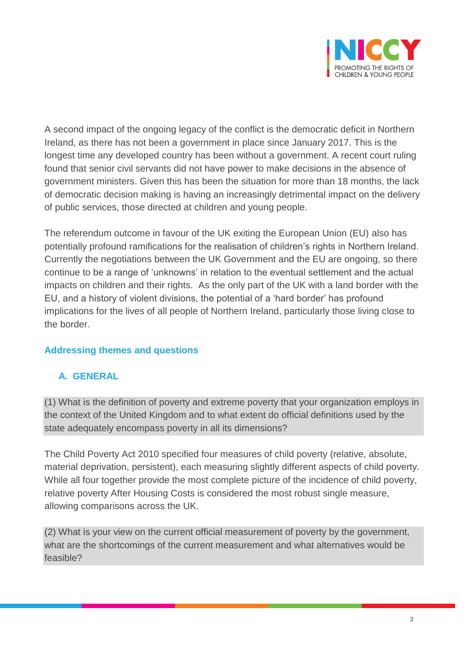

A second impact of the ongoing legacy of the conflict is the democratic deficit in Northern Ireland, as there has not been a government in place since January 2017. This is the longest time any developed country has been without a government. A recent court ruling found that senior civil servants did not have power to make decisions in the absence of government ministers. Given this has been the situation for more than 18 months, the lack of democratic decision making is having an increasingly detrimental impact on the delivery of public services, those directed at children and young people.

The referendum outcome in favour of the UK exiting the European Union (EU) also has potentially profound ramifications for the realisation of children's rights in Northern Ireland. Currently the negotiations between the UK Government and the EU are ongoing, so there continue to be a range of 'unknowns' in relation to the eventual settlement and the actual impacts on children and their rights. As the only part of the UK with a land border with the EU, and a history of violent divisions, the potential of a 'hard border' has profound implications for the lives of all people of Northern Ireland, particularly those living close to the border.

### **Addressing themes and questions**

# **A. GENERAL**

(1) What is the definition of poverty and extreme poverty that your organization employs in the context of the United Kingdom and to what extent do official definitions used by the state adequately encompass poverty in all its dimensions?

The Child Poverty Act 2010 specified four measures of child poverty (relative, absolute, material deprivation, persistent), each measuring slightly different aspects of child poverty. While all four together provide the most complete picture of the incidence of child poverty, relative poverty After Housing Costs is considered the most robust single measure, allowing comparisons across the UK.

(2) What is your view on the current official measurement of poverty by the government, what are the shortcomings of the current measurement and what alternatives would be feasible?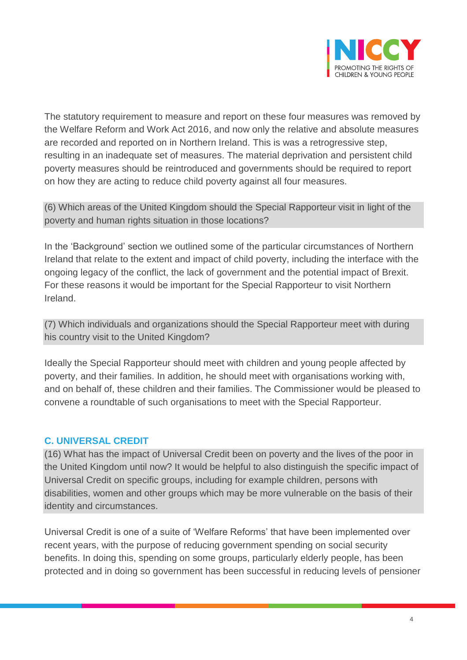

The statutory requirement to measure and report on these four measures was removed by the Welfare Reform and Work Act 2016, and now only the relative and absolute measures are recorded and reported on in Northern Ireland. This is was a retrogressive step, resulting in an inadequate set of measures. The material deprivation and persistent child poverty measures should be reintroduced and governments should be required to report on how they are acting to reduce child poverty against all four measures.

(6) Which areas of the United Kingdom should the Special Rapporteur visit in light of the poverty and human rights situation in those locations?

In the 'Background' section we outlined some of the particular circumstances of Northern Ireland that relate to the extent and impact of child poverty, including the interface with the ongoing legacy of the conflict, the lack of government and the potential impact of Brexit. For these reasons it would be important for the Special Rapporteur to visit Northern Ireland.

(7) Which individuals and organizations should the Special Rapporteur meet with during his country visit to the United Kingdom?

Ideally the Special Rapporteur should meet with children and young people affected by poverty, and their families. In addition, he should meet with organisations working with, and on behalf of, these children and their families. The Commissioner would be pleased to convene a roundtable of such organisations to meet with the Special Rapporteur.

### **C. UNIVERSAL CREDIT**

(16) What has the impact of Universal Credit been on poverty and the lives of the poor in the United Kingdom until now? It would be helpful to also distinguish the specific impact of Universal Credit on specific groups, including for example children, persons with disabilities, women and other groups which may be more vulnerable on the basis of their identity and circumstances.

Universal Credit is one of a suite of 'Welfare Reforms' that have been implemented over recent years, with the purpose of reducing government spending on social security benefits. In doing this, spending on some groups, particularly elderly people, has been protected and in doing so government has been successful in reducing levels of pensioner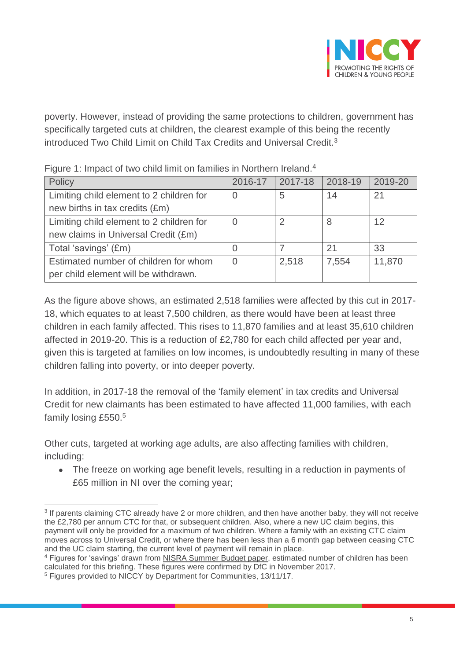

poverty. However, instead of providing the same protections to children, government has specifically targeted cuts at children, the clearest example of this being the recently introduced Two Child Limit on Child Tax Credits and Universal Credit.<sup>3</sup>

| Policy                                   | 2016-17 | 2017-18 | 2018-19 | 2019-20 |
|------------------------------------------|---------|---------|---------|---------|
| Limiting child element to 2 children for | 0       | 5       | 14      | 21      |
| new births in tax credits (£m)           |         |         |         |         |
| Limiting child element to 2 children for |         |         | 8       | 12      |
| new claims in Universal Credit (£m)      |         |         |         |         |
| Total 'savings' (£m)                     |         |         | 21      | 33      |
| Estimated number of children for whom    | 0       | 2,518   | 7,554   | 11,870  |
| per child element will be withdrawn.     |         |         |         |         |

Figure 1: Impact of two child limit on families in Northern Ireland.<sup>4</sup>

As the figure above shows, an estimated 2,518 families were affected by this cut in 2017- 18, which equates to at least 7,500 children, as there would have been at least three children in each family affected. This rises to 11,870 families and at least 35,610 children affected in 2019-20. This is a reduction of £2,780 for each child affected per year and, given this is targeted at families on low incomes, is undoubtedly resulting in many of these children falling into poverty, or into deeper poverty.

In addition, in 2017-18 the removal of the 'family element' in tax credits and Universal Credit for new claimants has been estimated to have affected 11,000 families, with each family losing £550.<sup>5</sup>

Other cuts, targeted at working age adults, are also affecting families with children, including:

• The freeze on working age benefit levels, resulting in a reduction in payments of £65 million in NI over the coming year;

 $\overline{a}$ <sup>3</sup> If parents claiming CTC already have 2 or more children, and then have another baby, they will not receive the £2,780 per annum CTC for that, or subsequent children. Also, where a new UC claim begins, this payment will only be provided for a maximum of two children. Where a family with an existing CTC claim moves across to Universal Credit, or where there has been less than a 6 month gap between ceasing CTC and the UC claim starting, the current level of payment will remain in place.

<sup>&</sup>lt;sup>4</sup> Figures for 'savings' drawn from [NISRA Summer Budget paper,](file://///Equality.local/root/NICCY-DATA/Staff%20Resources/PROGRAMMES%20OF%20WORK/PROGRAMMES%20OF%20WORK%202017-18/Child%20Poverty%20&%20Welfare%20Reform/WR%20changes/nisra-summer-budget-2015.pdf) estimated number of children has been calculated for this briefing. These figures were confirmed by DfC in November 2017.

<sup>5</sup> Figures provided to NICCY by Department for Communities, 13/11/17.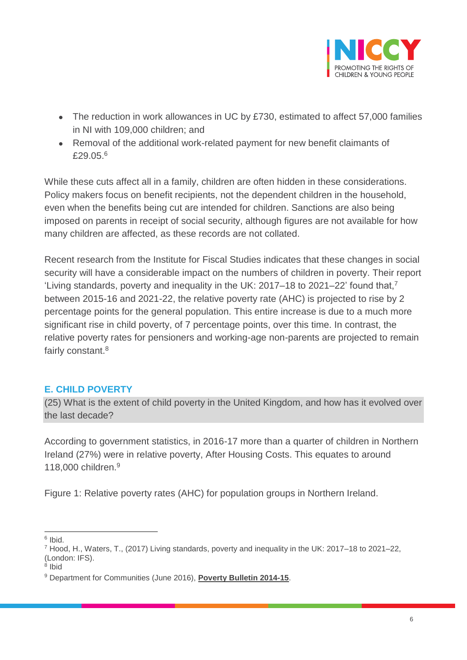

- The reduction in work allowances in UC by £730, estimated to affect 57,000 families in NI with 109,000 children; and
- Removal of the additional work-related payment for new benefit claimants of £29.05.<sup>6</sup>

While these cuts affect all in a family, children are often hidden in these considerations. Policy makers focus on benefit recipients, not the dependent children in the household, even when the benefits being cut are intended for children. Sanctions are also being imposed on parents in receipt of social security, although figures are not available for how many children are affected, as these records are not collated.

Recent research from the Institute for Fiscal Studies indicates that these changes in social security will have a considerable impact on the numbers of children in poverty. Their report 'Living standards, poverty and inequality in the UK: 2017–18 to 2021–22' found that,<sup>7</sup> between 2015-16 and 2021-22, the relative poverty rate (AHC) is projected to rise by 2 percentage points for the general population. This entire increase is due to a much more significant rise in child poverty, of 7 percentage points, over this time. In contrast, the relative poverty rates for pensioners and working-age non-parents are projected to remain fairly constant.<sup>8</sup>

# **E. CHILD POVERTY**

(25) What is the extent of child poverty in the United Kingdom, and how has it evolved over the last decade?

According to government statistics, in 2016-17 more than a quarter of children in Northern Ireland (27%) were in relative poverty, After Housing Costs. This equates to around 118,000 children.<sup>9</sup>

Figure 1: Relative poverty rates (AHC) for population groups in Northern Ireland.

 $\overline{a}$ <sup>6</sup> Ibid.

<sup>7</sup> Hood, H., Waters, T., (2017) Living standards, poverty and inequality in the UK: 2017–18 to 2021–22, (London: IFS).

<sup>&</sup>lt;sup>8</sup> Ibid

<sup>9</sup> Department for Communities (June 2016), **[Poverty Bulletin 2014-15](https://www.communities-ni.gov.uk/publications/northern-ireland-poverty-bulletin-2014-2015)**.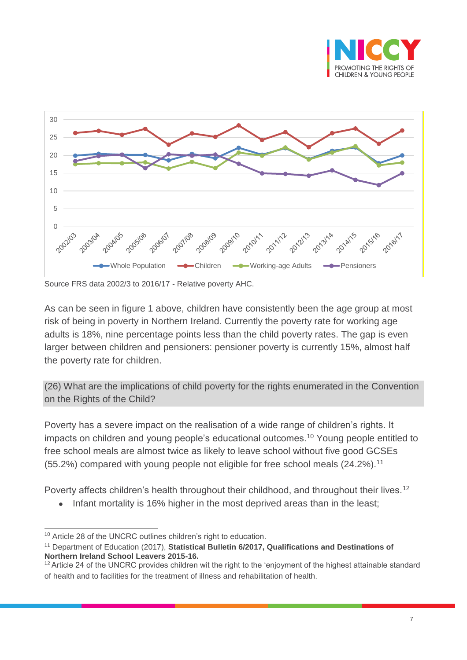



Source FRS data 2002/3 to 2016/17 - Relative poverty AHC.

As can be seen in figure 1 above, children have consistently been the age group at most risk of being in poverty in Northern Ireland. Currently the poverty rate for working age adults is 18%, nine percentage points less than the child poverty rates. The gap is even larger between children and pensioners: pensioner poverty is currently 15%, almost half the poverty rate for children.

(26) What are the implications of child poverty for the rights enumerated in the Convention on the Rights of the Child?

Poverty has a severe impact on the realisation of a wide range of children's rights. It impacts on children and young people's educational outcomes.<sup>10</sup> Young people entitled to free school meals are almost twice as likely to leave school without five good GCSEs (55.2%) compared with young people not eligible for free school meals (24.2%).<sup>11</sup>

Poverty affects children's health throughout their childhood, and throughout their lives.<sup>12</sup>

Infant mortality is 16% higher in the most deprived areas than in the least;

 $\overline{a}$ <sup>10</sup> Article 28 of the UNCRC outlines children's right to education.

<sup>11</sup> Department of Education (2017), **[Statistical Bulletin 6/2017, Qualifications and Destinations of](https://www.education-ni.gov.uk/sites/default/files/publications/education/Qualifications%20and%20Destinations%20of%20Northern%20Ireland%20School%20Leavers%20201516.pdf)  [Northern Ireland School Leavers 2015-16.](https://www.education-ni.gov.uk/sites/default/files/publications/education/Qualifications%20and%20Destinations%20of%20Northern%20Ireland%20School%20Leavers%20201516.pdf)**

 $12$  Article 24 of the UNCRC provides children wit the right to the 'enjoyment of the highest attainable standard of health and to facilities for the treatment of illness and rehabilitation of health.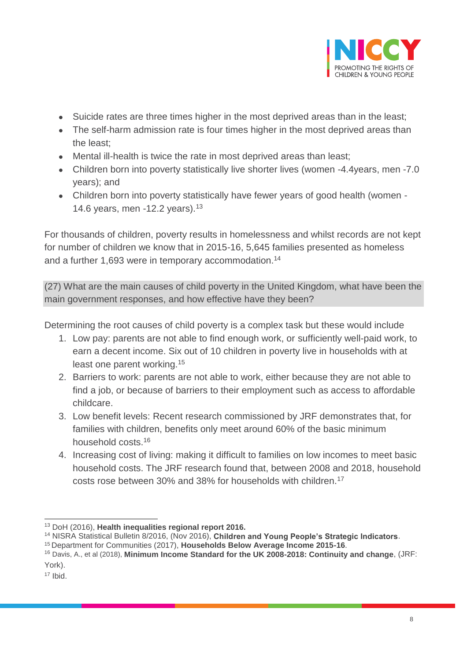

- Suicide rates are three times higher in the most deprived areas than in the least;
- The self-harm admission rate is four times higher in the most deprived areas than the least;
- Mental ill-health is twice the rate in most deprived areas than least;
- Children born into poverty statistically live shorter lives (women -4.4years, men -7.0 years); and
- Children born into poverty statistically have fewer years of good health (women 14.6 years, men  $-12.2$  years).<sup>13</sup>

For thousands of children, poverty results in homelessness and whilst records are not kept for number of children we know that in 2015-16, 5,645 families presented as homeless and a further 1,693 were in temporary accommodation.<sup>14</sup>

(27) What are the main causes of child poverty in the United Kingdom, what have been the main government responses, and how effective have they been?

Determining the root causes of child poverty is a complex task but these would include

- 1. Low pay: parents are not able to find enough work, or sufficiently well-paid work, to earn a decent income. Six out of 10 children in poverty live in households with at least one parent working.<sup>15</sup>
- 2. Barriers to work: parents are not able to work, either because they are not able to find a job, or because of barriers to their employment such as access to affordable childcare.
- 3. Low benefit levels: Recent research commissioned by JRF demonstrates that, for families with children, benefits only meet around 60% of the basic minimum household costs.<sup>16</sup>
- 4. Increasing cost of living: making it difficult to families on low incomes to meet basic household costs. The JRF research found that, between 2008 and 2018, household costs rose between 30% and 38% for households with children.<sup>17</sup>

 $\overline{a}$ <sup>13</sup> DoH (2016), **[Health inequalities regional report 2016.](https://www.health-ni.gov.uk/publications/health-inequalities-regional-report-2016)**

<sup>14</sup> NISRA Statistical Bulletin 8/2016, (Nov 2016), **[Children and Young People's Strategic Indicators](https://www.education-ni.gov.uk/publications/children-and-young-peoples-strategic-indicators-2016-update)**.

<sup>15</sup> Department for Communities (2017), **[Households Below Average Income 2015-16](https://www.communities-ni.gov.uk/publications/households-below-average-income-northern-ireland-201415)**.

<sup>16</sup> Davis, A., et al (2018), **Minimum Income Standard for the UK 2008-2018: Continuity and change**, (JRF: York).

<sup>17</sup> Ibid.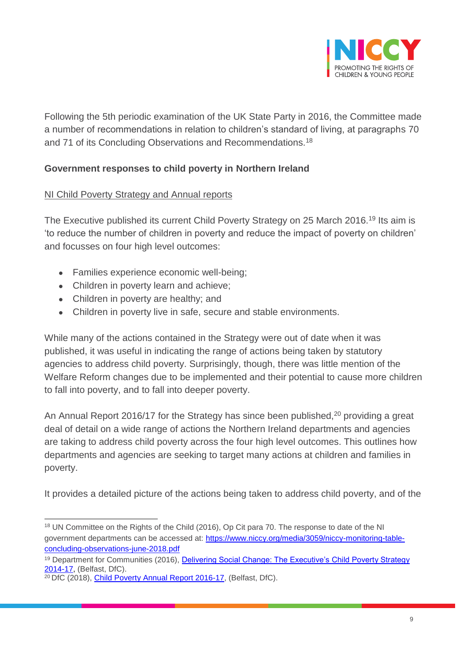

Following the 5th periodic examination of the UK State Party in 2016, the Committee made a number of recommendations in relation to children's standard of living, at paragraphs 70 and 71 of its Concluding Observations and Recommendations.<sup>18</sup>

## **Government responses to child poverty in Northern Ireland**

#### NI Child Poverty Strategy and Annual reports

The Executive published its current Child Poverty Strategy on 25 March 2016.<sup>19</sup> Its aim is 'to reduce the number of children in poverty and reduce the impact of poverty on children' and focusses on four high level outcomes:

- Families experience economic well-being;
- Children in poverty learn and achieve;
- Children in poverty are healthy; and
- Children in poverty live in safe, secure and stable environments.

While many of the actions contained in the Strategy were out of date when it was published, it was useful in indicating the range of actions being taken by statutory agencies to address child poverty. Surprisingly, though, there was little mention of the Welfare Reform changes due to be implemented and their potential to cause more children to fall into poverty, and to fall into deeper poverty.

An Annual Report 2016/17 for the Strategy has since been published,<sup>20</sup> providing a great deal of detail on a wide range of actions the Northern Ireland departments and agencies are taking to address child poverty across the four high level outcomes. This outlines how departments and agencies are seeking to target many actions at children and families in poverty.

It provides a detailed picture of the actions being taken to address child poverty, and of the

 $\overline{a}$ <sup>18</sup> UN Committee on the Rights of the Child (2016), Op Cit para 70. The response to date of the NI government departments can be accessed at: [https://www.niccy.org/media/3059/niccy-monitoring-table](https://www.niccy.org/media/3059/niccy-monitoring-table-concluding-observations-june-2018.pdf)[concluding-observations-june-2018.pdf](https://www.niccy.org/media/3059/niccy-monitoring-table-concluding-observations-june-2018.pdf)

<sup>19</sup> Department for Communities (2016), Delivering Social Change: The Executive's Child Poverty Strategy [2014-17,](https://www.communities-ni.gov.uk/publications/child-poverty-strategy) (Belfast, DfC).

<sup>&</sup>lt;sup>20</sup> DfC (2018), *Child Poverty Annual Report 2016-17*, (Belfast, DfC).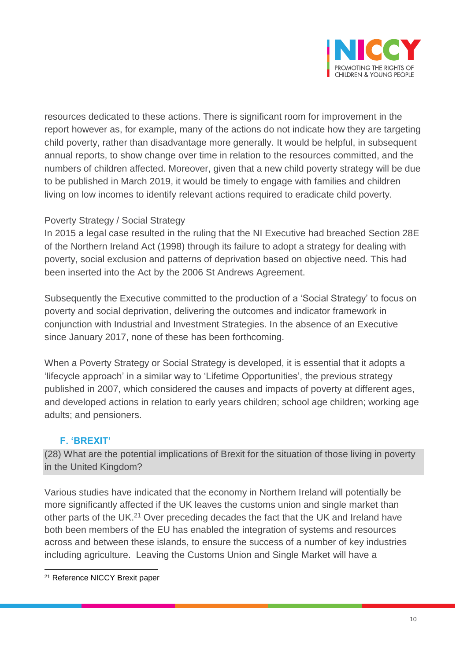

resources dedicated to these actions. There is significant room for improvement in the report however as, for example, many of the actions do not indicate how they are targeting child poverty, rather than disadvantage more generally. It would be helpful, in subsequent annual reports, to show change over time in relation to the resources committed, and the numbers of children affected. Moreover, given that a new child poverty strategy will be due to be published in March 2019, it would be timely to engage with families and children living on low incomes to identify relevant actions required to eradicate child poverty.

#### Poverty Strategy / Social Strategy

In 2015 a legal case resulted in the ruling that the NI Executive had breached Section 28E of the Northern Ireland Act (1998) through its failure to adopt a strategy for dealing with poverty, social exclusion and patterns of deprivation based on objective need. This had been inserted into the Act by the 2006 St Andrews Agreement.

Subsequently the Executive committed to the production of a 'Social Strategy' to focus on poverty and social deprivation, delivering the outcomes and indicator framework in conjunction with Industrial and Investment Strategies. In the absence of an Executive since January 2017, none of these has been forthcoming.

When a Poverty Strategy or Social Strategy is developed, it is essential that it adopts a 'lifecycle approach' in a similar way to 'Lifetime Opportunities', the previous strategy published in 2007, which considered the causes and impacts of poverty at different ages, and developed actions in relation to early years children; school age children; working age adults; and pensioners.

#### **F. 'BREXIT'**

(28) What are the potential implications of Brexit for the situation of those living in poverty in the United Kingdom?

Various studies have indicated that the economy in Northern Ireland will potentially be more significantly affected if the UK leaves the customs union and single market than other parts of the UK.<sup>21</sup> Over preceding decades the fact that the UK and Ireland have both been members of the EU has enabled the integration of systems and resources across and between these islands, to ensure the success of a number of key industries including agriculture. Leaving the Customs Union and Single Market will have a

 $\overline{a}$ 

<sup>21</sup> Reference NICCY Brexit paper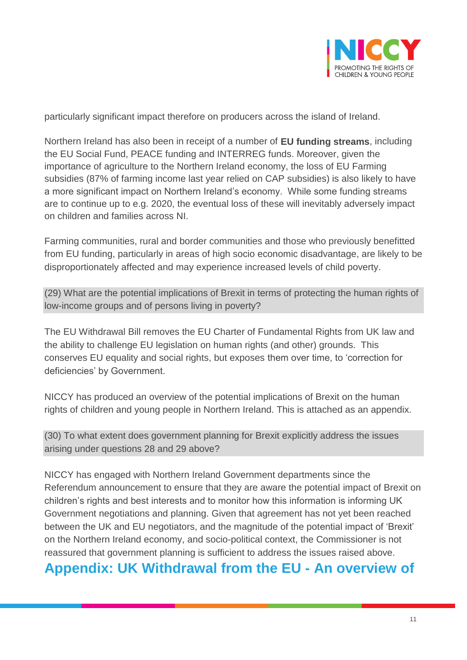

particularly significant impact therefore on producers across the island of Ireland.

Northern Ireland has also been in receipt of a number of **EU funding streams**, including the EU Social Fund, PEACE funding and INTERREG funds. Moreover, given the importance of agriculture to the Northern Ireland economy, the loss of EU Farming subsidies (87% of farming income last year relied on CAP subsidies) is also likely to have a more significant impact on Northern Ireland's economy. While some funding streams are to continue up to e.g. 2020, the eventual loss of these will inevitably adversely impact on children and families across NI.

Farming communities, rural and border communities and those who previously benefitted from EU funding, particularly in areas of high socio economic disadvantage, are likely to be disproportionately affected and may experience increased levels of child poverty.

(29) What are the potential implications of Brexit in terms of protecting the human rights of low-income groups and of persons living in poverty?

The EU Withdrawal Bill removes the EU Charter of Fundamental Rights from UK law and the ability to challenge EU legislation on human rights (and other) grounds. This conserves EU equality and social rights, but exposes them over time, to 'correction for deficiencies' by Government.

NICCY has produced an overview of the potential implications of Brexit on the human rights of children and young people in Northern Ireland. This is attached as an appendix.

(30) To what extent does government planning for Brexit explicitly address the issues arising under questions 28 and 29 above?

NICCY has engaged with Northern Ireland Government departments since the Referendum announcement to ensure that they are aware the potential impact of Brexit on children's rights and best interests and to monitor how this information is informing UK Government negotiations and planning. Given that agreement has not yet been reached between the UK and EU negotiators, and the magnitude of the potential impact of 'Brexit' on the Northern Ireland economy, and socio-political context, the Commissioner is not reassured that government planning is sufficient to address the issues raised above.

# **Appendix: UK Withdrawal from the EU - An overview of**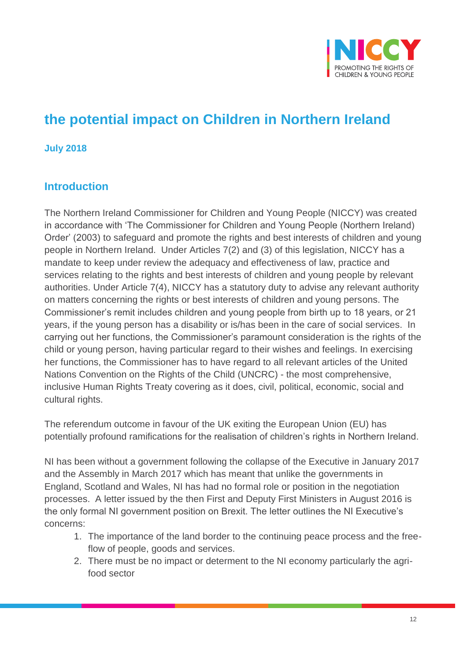

# **the potential impact on Children in Northern Ireland**

#### **July 2018**

# **Introduction**

The Northern Ireland Commissioner for Children and Young People (NICCY) was created in accordance with 'The Commissioner for Children and Young People (Northern Ireland) Order' (2003) to safeguard and promote the rights and best interests of children and young people in Northern Ireland. Under Articles 7(2) and (3) of this legislation, NICCY has a mandate to keep under review the adequacy and effectiveness of law, practice and services relating to the rights and best interests of children and young people by relevant authorities. Under Article 7(4), NICCY has a statutory duty to advise any relevant authority on matters concerning the rights or best interests of children and young persons. The Commissioner's remit includes children and young people from birth up to 18 years, or 21 years, if the young person has a disability or is/has been in the care of social services. In carrying out her functions, the Commissioner's paramount consideration is the rights of the child or young person, having particular regard to their wishes and feelings. In exercising her functions, the Commissioner has to have regard to all relevant articles of the United Nations Convention on the Rights of the Child (UNCRC) - the most comprehensive, inclusive Human Rights Treaty covering as it does, civil, political, economic, social and cultural rights.

The referendum outcome in favour of the UK exiting the European Union (EU) has potentially profound ramifications for the realisation of children's rights in Northern Ireland.

NI has been without a government following the collapse of the Executive in January 2017 and the Assembly in March 2017 which has meant that unlike the governments in England, Scotland and Wales, NI has had no formal role or position in the negotiation processes. A letter issued by the then First and Deputy First Ministers in August 2016 is the only formal NI government position on Brexit. The letter outlines the NI Executive's concerns:

- 1. The importance of the land border to the continuing peace process and the freeflow of people, goods and services.
- 2. There must be no impact or determent to the NI economy particularly the agrifood sector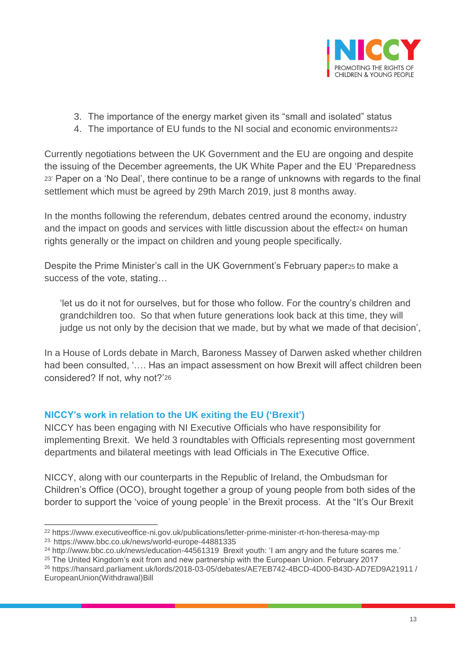

- 3. The importance of the energy market given its "small and isolated" status
- 4. The importance of EU funds to the NI social and economic environments<sup>22</sup>

Currently negotiations between the UK Government and the EU are ongoing and despite the issuing of the December agreements, the UK White Paper and the EU 'Preparedness 23' Paper on a 'No Deal', there continue to be a range of unknowns with regards to the final settlement which must be agreed by 29th March 2019, just 8 months away.

In the months following the referendum, debates centred around the economy, industry and the impact on goods and services with little discussion about the effect<sup>24</sup> on human rights generally or the impact on children and young people specifically.

Despite the Prime Minister's call in the UK Government's February paper<sub>25</sub> to make a success of the vote, stating…

'let us do it not for ourselves, but for those who follow. For the country's children and grandchildren too. So that when future generations look back at this time, they will judge us not only by the decision that we made, but by what we made of that decision',

In a House of Lords debate in March, Baroness Massey of Darwen asked whether children had been consulted, '…. Has an impact assessment on how Brexit will affect children been considered? If not, why not?'<sup>26</sup>

# **NICCY's work in relation to the UK exiting the EU ('Brexit')**

NICCY has been engaging with NI Executive Officials who have responsibility for implementing Brexit. We held 3 roundtables with Officials representing most government departments and bilateral meetings with lead Officials in The Executive Office.

NICCY, along with our counterparts in the Republic of Ireland, the Ombudsman for Children's Office (OCO), brought together a group of young people from both sides of the border to support the 'voice of young people' in the Brexit process. At the "It's Our Brexit

 $\overline{a}$ <sup>22</sup> https://www.executiveoffice-ni.gov.uk/publications/letter-prime-minister-rt-hon-theresa-may-mp

<sup>23.</sup> <https://www.bbc.co.uk/news/world-europe-44881335>

<sup>&</sup>lt;sup>24</sup> <http://www.bbc.co.uk/news/education-44561319>Brexit youth: 'I am angry and the future scares me.'

<sup>&</sup>lt;sup>25</sup> The United Kingdom's exit from and new partnership with the European Union. February 2017

<sup>26</sup> [https://hansard.parliament.uk/lords/2018-03-05/debates/AE7EB742-4BCD-4D00-B43D-AD7ED9A21911 /](https://hansard.parliament.uk/lords/2018-03-05/debates/AE7EB742-4BCD-4D00-B43D-AD7ED9A21911%20/%20EuropeanUnion(Withdrawal)Bill)  [EuropeanUnion\(Withdrawal\)Bill](https://hansard.parliament.uk/lords/2018-03-05/debates/AE7EB742-4BCD-4D00-B43D-AD7ED9A21911%20/%20EuropeanUnion(Withdrawal)Bill)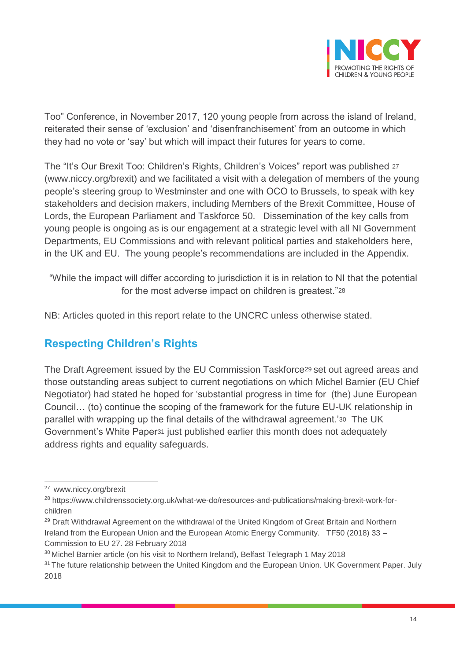

Too" Conference, in November 2017, 120 young people from across the island of Ireland, reiterated their sense of 'exclusion' and 'disenfranchisement' from an outcome in which they had no vote or 'say' but which will impact their futures for years to come.

The "It's Our Brexit Too: Children's Rights, Children's Voices" report was published <sup>27</sup> [\(www.niccy.org/brexit\)](http://www.niccy.org/brexit) and we facilitated a visit with a delegation of members of the young people's steering group to Westminster and one with OCO to Brussels, to speak with key stakeholders and decision makers, including Members of the Brexit Committee, House of Lords, the European Parliament and Taskforce 50. Dissemination of the key calls from young people is ongoing as is our engagement at a strategic level with all NI Government Departments, EU Commissions and with relevant political parties and stakeholders here, in the UK and EU. The young people's recommendations are included in the Appendix.

"While the impact will differ according to jurisdiction it is in relation to NI that the potential for the most adverse impact on children is greatest."<sup>28</sup>

NB: Articles quoted in this report relate to the UNCRC unless otherwise stated.

# **Respecting Children's Rights**

The Draft Agreement issued by the EU Commission Taskforce<sup>29</sup> set out agreed areas and those outstanding areas subject to current negotiations on which Michel Barnier (EU Chief Negotiator) had stated he hoped for 'substantial progress in time for (the) June European Council… (to) continue the scoping of the framework for the future EU-UK relationship in parallel with wrapping up the final details of the withdrawal agreement.'30 The UK Government's White Paper<sup>31</sup> just published earlier this month does not adequately address rights and equality safeguards.

 $\overline{a}$ 

<sup>29</sup> Draft Withdrawal Agreement on the withdrawal of the United Kingdom of Great Britain and Northern Ireland from the European Union and the European Atomic Energy Community. TF50 (2018) 33 – Commission to EU 27. 28 February 2018

<sup>27</sup> [www.niccy.org/brexit](http://www.niccy.org/brexit)

<sup>&</sup>lt;sup>28</sup> [https://www.childrenssociety.org.uk/what-we-do/resources-and-publications/making-brexit-work-for](https://www.childrenssociety.org.uk/what-we-do/resources-and-publications/making-brexit-work-for-children)[children](https://www.childrenssociety.org.uk/what-we-do/resources-and-publications/making-brexit-work-for-children)

<sup>30</sup> Michel Barnier article (on his visit to Northern Ireland), Belfast Telegraph 1 May 2018

<sup>&</sup>lt;sup>31</sup> The future relationship between the United Kingdom and the European Union. UK Government Paper. July 2018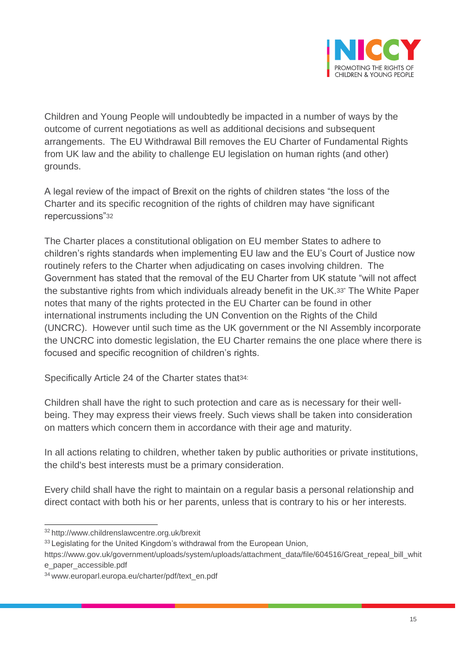

Children and Young People will undoubtedly be impacted in a number of ways by the outcome of current negotiations as well as additional decisions and subsequent arrangements. The EU Withdrawal Bill removes the EU Charter of Fundamental Rights from UK law and the ability to challenge EU legislation on human rights (and other) grounds.

A legal review of the impact of Brexit on the rights of children states "the loss of the Charter and its specific recognition of the rights of children may have significant repercussions"<sup>32</sup>

The Charter places a constitutional obligation on EU member States to adhere to children's rights standards when implementing EU law and the EU's Court of Justice now routinely refers to the Charter when adjudicating on cases involving children. The Government has stated that the removal of the EU Charter from UK statute "will not affect the substantive rights from which individuals already benefit in the UK.33" The White Paper notes that many of the rights protected in the EU Charter can be found in other international instruments including the UN Convention on the Rights of the Child (UNCRC). However until such time as the UK government or the NI Assembly incorporate the UNCRC into domestic legislation, the EU Charter remains the one place where there is focused and specific recognition of children's rights.

Specifically Article 24 of the Charter states that34:

Children shall have the right to such protection and care as is necessary for their wellbeing. They may express their views freely. Such views shall be taken into consideration on matters which concern them in accordance with their age and maturity.

In all actions relating to children, whether taken by public authorities or private institutions, the child's best interests must be a primary consideration.

Every child shall have the right to maintain on a regular basis a personal relationship and direct contact with both his or her parents, unless that is contrary to his or her interests.

 $\overline{a}$ <sup>32</sup> http://www.childrenslawcentre.org.uk/brexit

<sup>&</sup>lt;sup>33</sup> Legislating for the United Kingdom's withdrawal from the European Union,

[https://www.gov.uk/government/uploads/system/uploads/attachment\\_data/file/604516/Great\\_repeal\\_bill\\_whit](https://www.gov.uk/government/uploads/system/uploads/attachment_data/file/604516/Great_repeal_bill_white_paper_accessible.pdf) [e\\_paper\\_accessible.pdf](https://www.gov.uk/government/uploads/system/uploads/attachment_data/file/604516/Great_repeal_bill_white_paper_accessible.pdf)

<sup>&</sup>lt;sup>34</sup> www.europarl.europa.eu/charter/pdf/text\_en.pdf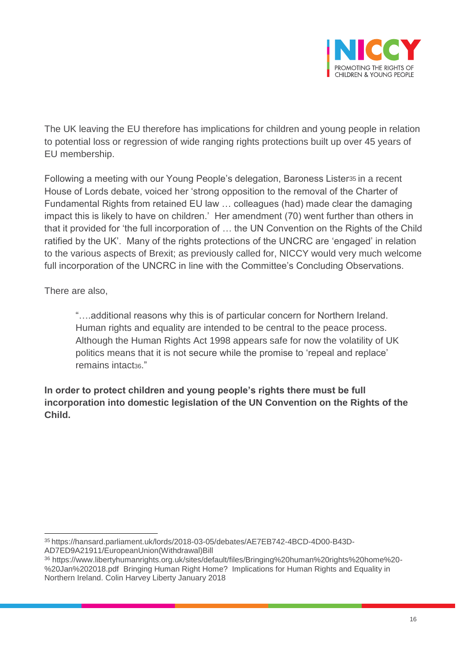

The UK leaving the EU therefore has implications for children and young people in relation to potential loss or regression of wide ranging rights protections built up over 45 years of EU membership.

Following a meeting with our Young People's delegation, Baroness Lister<sup>35</sup> in a recent House of Lords debate, voiced her 'strong opposition to the removal of the Charter of Fundamental Rights from retained EU law … colleagues (had) made clear the damaging impact this is likely to have on children.' Her amendment (70) went further than others in that it provided for 'the full incorporation of … the UN Convention on the Rights of the Child ratified by the UK'. Many of the rights protections of the UNCRC are 'engaged' in relation to the various aspects of Brexit; as previously called for, NICCY would very much welcome full incorporation of the UNCRC in line with the Committee's Concluding Observations.

There are also,

 $\overline{a}$ 

"….additional reasons why this is of particular concern for Northern Ireland. Human rights and equality are intended to be central to the peace process. Although the Human Rights Act 1998 appears safe for now the volatility of UK politics means that it is not secure while the promise to 'repeal and replace' remains intact<sub>36</sub>."

**In order to protect children and young people's rights there must be full incorporation into domestic legislation of the UN Convention on the Rights of the Child.** 

<sup>35</sup> [https://hansard.parliament.uk/lords/2018-03-05/debates/AE7EB742-4BCD-4D00-B43D-](https://hansard.parliament.uk/lords/2018-03-05/debates/AE7EB742-4BCD-4D00-B43D-AD7ED9A21911/EuropeanUnion(Withdrawal)Bill)[AD7ED9A21911/EuropeanUnion\(Withdrawal\)Bill](https://hansard.parliament.uk/lords/2018-03-05/debates/AE7EB742-4BCD-4D00-B43D-AD7ED9A21911/EuropeanUnion(Withdrawal)Bill)

<sup>36</sup> [https://www.libertyhumanrights.org.uk/sites/default/files/Bringing%20human%20rights%20home%20-](https://www.libertyhumanrights.org.uk/sites/default/files/Bringing%20human%20rights%20home%20-%20Jan%202018.pdf) [%20Jan%202018.pdf](https://www.libertyhumanrights.org.uk/sites/default/files/Bringing%20human%20rights%20home%20-%20Jan%202018.pdf) Bringing Human Right Home? Implications for Human Rights and Equality in Northern Ireland. Colin Harvey Liberty January 2018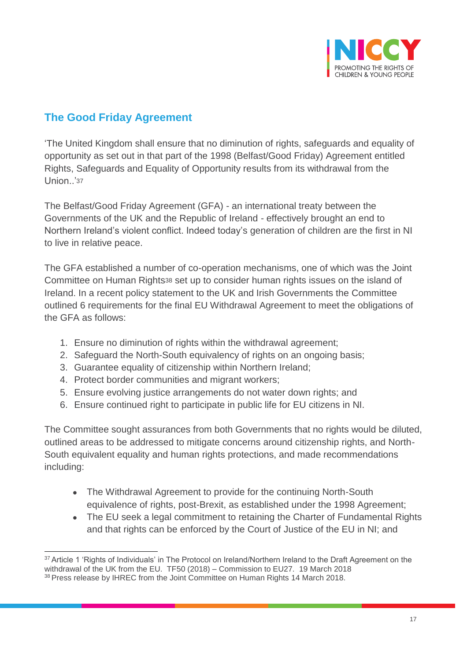

# **The Good Friday Agreement**

'The United Kingdom shall ensure that no diminution of rights, safeguards and equality of opportunity as set out in that part of the 1998 (Belfast/Good Friday) Agreement entitled Rights, Safeguards and Equality of Opportunity results from its withdrawal from the Union..'<sup>37</sup>

The Belfast/Good Friday Agreement (GFA) - an international treaty between the Governments of the UK and the Republic of Ireland - effectively brought an end to Northern Ireland's violent conflict. Indeed today's generation of children are the first in NI to live in relative peace.

The GFA established a number of co-operation mechanisms, one of which was the Joint Committee on Human Rights<sup>38</sup> set up to consider human rights issues on the island of Ireland. In a recent policy statement to the UK and Irish Governments the Committee outlined 6 requirements for the final EU Withdrawal Agreement to meet the obligations of the GFA as follows:

- 1. Ensure no diminution of rights within the withdrawal agreement;
- 2. Safeguard the North-South equivalency of rights on an ongoing basis;
- 3. Guarantee equality of citizenship within Northern Ireland;
- 4. Protect border communities and migrant workers;
- 5. Ensure evolving justice arrangements do not water down rights; and
- 6. Ensure continued right to participate in public life for EU citizens in NI.

The Committee sought assurances from both Governments that no rights would be diluted, outlined areas to be addressed to mitigate concerns around citizenship rights, and North-South equivalent equality and human rights protections, and made recommendations including:

- The Withdrawal Agreement to provide for the continuing North-South equivalence of rights, post-Brexit, as established under the 1998 Agreement;
- The EU seek a legal commitment to retaining the Charter of Fundamental Rights and that rights can be enforced by the Court of Justice of the EU in NI; and

 $\overline{a}$ <sup>37</sup> Article 1 'Rights of Individuals' in The Protocol on Ireland/Northern Ireland to the Draft Agreement on the withdrawal of the UK from the EU. TF50 (2018) – Commission to EU27. 19 March 2018 <sup>38</sup> Press release by IHREC from the Joint Committee on Human Rights 14 March 2018.

<sup>17</sup>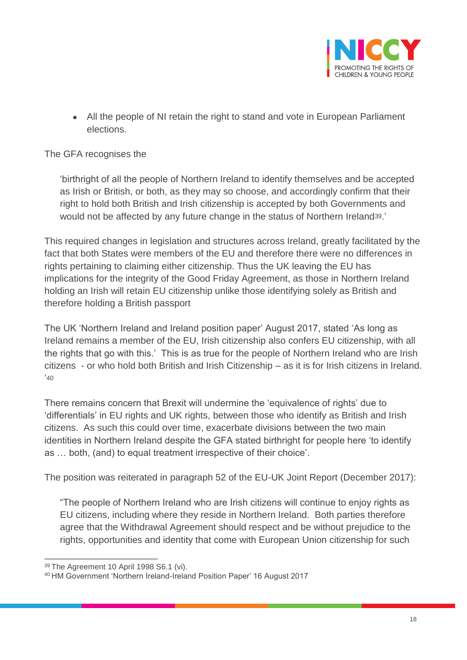

 All the people of NI retain the right to stand and vote in European Parliament elections.

The GFA recognises the

'birthright of all the people of Northern Ireland to identify themselves and be accepted as Irish or British, or both, as they may so choose, and accordingly confirm that their right to hold both British and Irish citizenship is accepted by both Governments and would not be affected by any future change in the status of Northern Ireland39.'

This required changes in legislation and structures across Ireland, greatly facilitated by the fact that both States were members of the EU and therefore there were no differences in rights pertaining to claiming either citizenship. Thus the UK leaving the EU has implications for the integrity of the Good Friday Agreement, as those in Northern Ireland holding an Irish will retain EU citizenship unlike those identifying solely as British and therefore holding a British passport

The UK 'Northern Ireland and Ireland position paper' August 2017, stated 'As long as Ireland remains a member of the EU, Irish citizenship also confers EU citizenship, with all the rights that go with this.' This is as true for the people of Northern Ireland who are Irish citizens - or who hold both British and Irish Citizenship – as it is for Irish citizens in Ireland.  $40$ 

There remains concern that Brexit will undermine the 'equivalence of rights' due to 'differentials' in EU rights and UK rights, between those who identify as British and Irish citizens. As such this could over time, exacerbate divisions between the two main identities in Northern Ireland despite the GFA stated birthright for people here 'to identify as … both, (and) to equal treatment irrespective of their choice'.

The position was reiterated in paragraph 52 of the EU-UK Joint Report (December 2017):

"The people of Northern Ireland who are Irish citizens will continue to enjoy rights as EU citizens, including where they reside in Northern Ireland. Both parties therefore agree that the Withdrawal Agreement should respect and be without prejudice to the rights, opportunities and identity that come with European Union citizenship for such

 $\overline{a}$ <sup>39</sup> The Agreement 10 April 1998 S6.1 (vi).

<sup>40</sup> HM Government 'Northern Ireland-Ireland Position Paper' 16 August 2017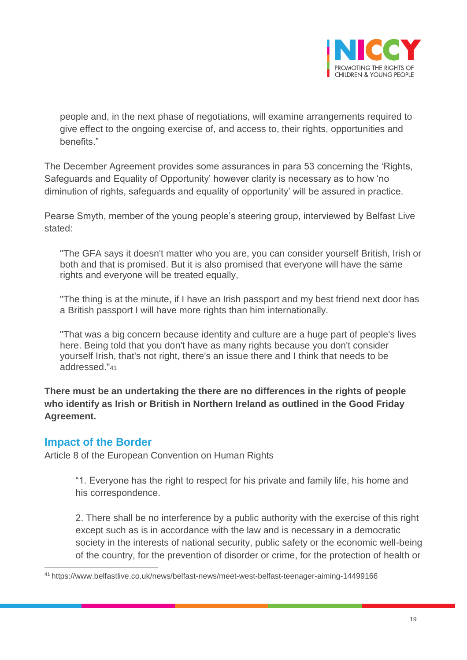

people and, in the next phase of negotiations, will examine arrangements required to give effect to the ongoing exercise of, and access to, their rights, opportunities and benefits."

The December Agreement provides some assurances in para 53 concerning the 'Rights, Safeguards and Equality of Opportunity' however clarity is necessary as to how 'no diminution of rights, safeguards and equality of opportunity' will be assured in practice.

Pearse Smyth, member of the young people's steering group, interviewed by Belfast Live stated:

"The GFA says it doesn't matter who you are, you can consider yourself British, Irish or both and that is promised. But it is also promised that everyone will have the same rights and everyone will be treated equally,

"The thing is at the minute, if I have an Irish passport and my best friend next door has a British passport I will have more rights than him internationally.

"That was a big concern because identity and culture are a huge part of people's lives here. Being told that you don't have as many rights because you don't consider yourself Irish, that's not right, there's an issue there and I think that needs to be addressed."<sup>41</sup>

**There must be an undertaking the there are no differences in the rights of people who identify as Irish or British in Northern Ireland as outlined in the Good Friday Agreement.**

# **Impact of the Border**

 $\overline{a}$ 

Article 8 of the European Convention on Human Rights

"1. Everyone has the right to respect for his private and family life, his home and his correspondence.

2. There shall be no interference by a public authority with the exercise of this right except such as is in accordance with the law and is necessary in a democratic society in the interests of national security, public safety or the economic well-being of the country, for the prevention of disorder or crime, for the protection of health or

<sup>41</sup> <https://www.belfastlive.co.uk/news/belfast-news/meet-west-belfast-teenager-aiming-14499166>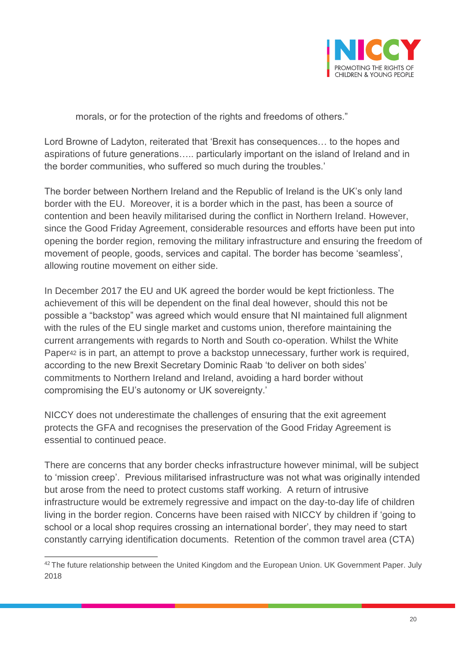

morals, or for the protection of the rights and freedoms of others."

Lord Browne of Ladyton, reiterated that 'Brexit has consequences… to the hopes and aspirations of future generations….. particularly important on the island of Ireland and in the border communities, who suffered so much during the troubles.'

The border between Northern Ireland and the Republic of Ireland is the UK's only land border with the EU. Moreover, it is a border which in the past, has been a source of contention and been heavily militarised during the conflict in Northern Ireland. However, since the Good Friday Agreement, considerable resources and efforts have been put into opening the border region, removing the military infrastructure and ensuring the freedom of movement of people, goods, services and capital. The border has become 'seamless', allowing routine movement on either side.

In December 2017 the EU and UK agreed the border would be kept frictionless. The achievement of this will be dependent on the final deal however, should this not be possible a "backstop" was agreed which would ensure that NI maintained full alignment with the rules of the EU single market and customs union, therefore maintaining the current arrangements with regards to North and South co-operation. Whilst the White Paper<sup>42</sup> is in part, an attempt to prove a backstop unnecessary, further work is required, according to the new Brexit Secretary Dominic Raab 'to deliver on both sides' commitments to Northern Ireland and Ireland, avoiding a hard border without compromising the EU's autonomy or UK sovereignty.'

NICCY does not underestimate the challenges of ensuring that the exit agreement protects the GFA and recognises the preservation of the Good Friday Agreement is essential to continued peace.

There are concerns that any border checks infrastructure however minimal, will be subject to 'mission creep'. Previous militarised infrastructure was not what was originally intended but arose from the need to protect customs staff working. A return of intrusive infrastructure would be extremely regressive and impact on the day-to-day life of children living in the border region. Concerns have been raised with NICCY by children if 'going to school or a local shop requires crossing an international border', they may need to start constantly carrying identification documents. Retention of the common travel area (CTA)

 $\overline{a}$ 

 $42$  The future relationship between the United Kingdom and the European Union. UK Government Paper. July 2018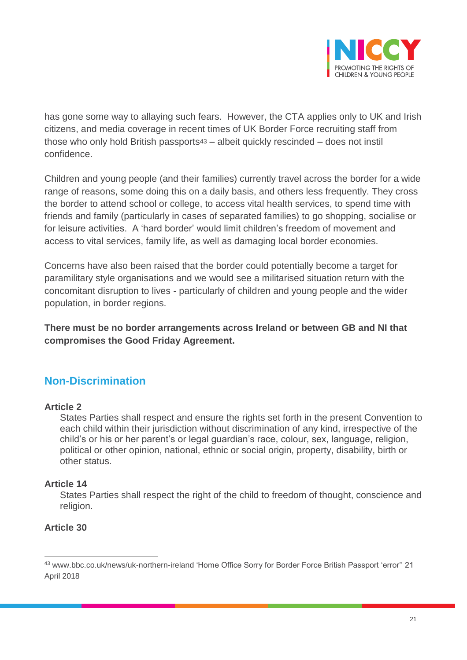

has gone some way to allaying such fears. However, the CTA applies only to UK and Irish citizens, and media coverage in recent times of UK Border Force recruiting staff from those who only hold British passports<sup>43</sup> – albeit quickly rescinded – does not instil confidence.

Children and young people (and their families) currently travel across the border for a wide range of reasons, some doing this on a daily basis, and others less frequently. They cross the border to attend school or college, to access vital health services, to spend time with friends and family (particularly in cases of separated families) to go shopping, socialise or for leisure activities. A 'hard border' would limit children's freedom of movement and access to vital services, family life, as well as damaging local border economies.

Concerns have also been raised that the border could potentially become a target for paramilitary style organisations and we would see a militarised situation return with the concomitant disruption to lives - particularly of children and young people and the wider population, in border regions.

### **There must be no border arrangements across Ireland or between GB and NI that compromises the Good Friday Agreement.**

# **Non-Discrimination**

#### **Article 2**

States Parties shall respect and ensure the rights set forth in the present Convention to each child within their jurisdiction without discrimination of any kind, irrespective of the child's or his or her parent's or legal guardian's race, colour, sex, language, religion, political or other opinion, national, ethnic or social origin, property, disability, birth or other status.

#### **Article 14**

States Parties shall respect the right of the child to freedom of thought, conscience and religion.

### **Article 30**

 $\overline{a}$ <sup>43</sup> [www.bbc.co.uk/news/uk-northern-ireland](http://www.bbc.co.uk/news/uk-northern-ireland) 'Home Office Sorry for Border Force British Passport 'error'' 21 April 2018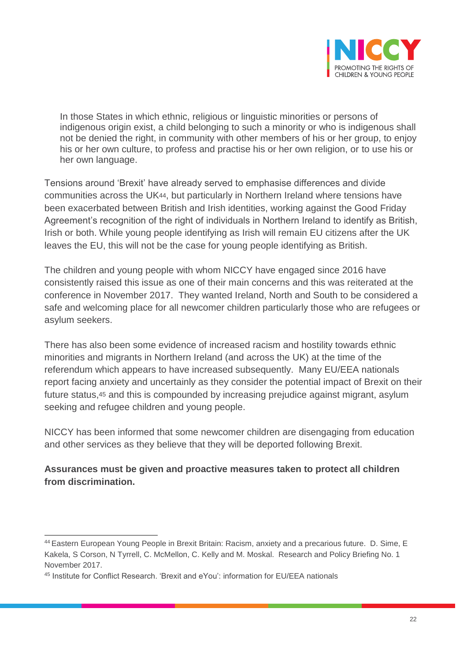

In those States in which ethnic, religious or linguistic minorities or persons of indigenous origin exist, a child belonging to such a minority or who is indigenous shall not be denied the right, in community with other members of his or her group, to enjoy his or her own culture, to profess and practise his or her own religion, or to use his or her own language.

Tensions around 'Brexit' have already served to emphasise differences and divide communities across the UK44, but particularly in Northern Ireland where tensions have been exacerbated between British and Irish identities, working against the Good Friday Agreement's recognition of the right of individuals in Northern Ireland to identify as British, Irish or both. While young people identifying as Irish will remain EU citizens after the UK leaves the EU, this will not be the case for young people identifying as British.

The children and young people with whom NICCY have engaged since 2016 have consistently raised this issue as one of their main concerns and this was reiterated at the conference in November 2017. They wanted Ireland, North and South to be considered a safe and welcoming place for all newcomer children particularly those who are refugees or asylum seekers.

There has also been some evidence of increased racism and hostility towards ethnic minorities and migrants in Northern Ireland (and across the UK) at the time of the referendum which appears to have increased subsequently. Many EU/EEA nationals report facing anxiety and uncertainly as they consider the potential impact of Brexit on their future status,<sup>45</sup> and this is compounded by increasing prejudice against migrant, asylum seeking and refugee children and young people.

NICCY has been informed that some newcomer children are disengaging from education and other services as they believe that they will be deported following Brexit.

## **Assurances must be given and proactive measures taken to protect all children from discrimination.**

 $\overline{a}$ 

<sup>44</sup> Eastern European Young People in Brexit Britain: Racism, anxiety and a precarious future. D. Sime, E Kakela, S Corson, N Tyrrell, C. McMellon, C. Kelly and M. Moskal. Research and Policy Briefing No. 1 November 2017.

<sup>45</sup> Institute for Conflict Research. 'Brexit and eYou': information for EU/EEA nationals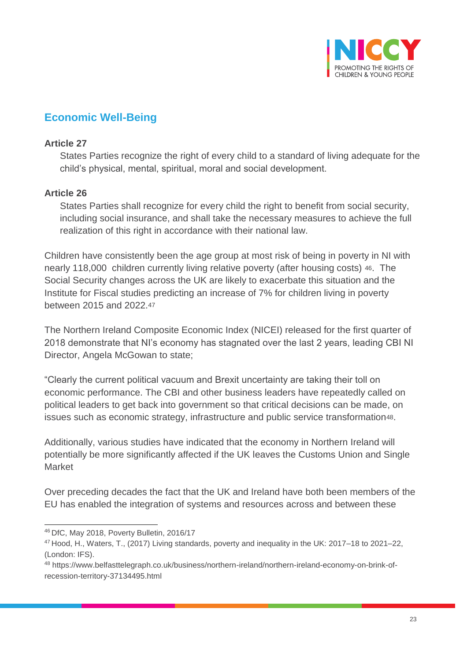

# **Economic Well-Being**

#### **Article 27**

States Parties recognize the right of every child to a standard of living adequate for the child's physical, mental, spiritual, moral and social development.

#### **Article 26**

States Parties shall recognize for every child the right to benefit from social security, including social insurance, and shall take the necessary measures to achieve the full realization of this right in accordance with their national law.

Children have consistently been the age group at most risk of being in poverty in NI with nearly 118,000 children currently living relative poverty (after housing costs) 46. The Social Security changes across the UK are likely to exacerbate this situation and the Institute for Fiscal studies predicting an increase of 7% for children living in poverty between 2015 and 2022.<sup>47</sup>

The Northern Ireland Composite Economic Index (NICEI) released for the first quarter of 2018 demonstrate that NI's economy has stagnated over the last 2 years, leading CBI NI Director, Angela McGowan to state;

"Clearly the current political vacuum and Brexit uncertainty are taking their toll on economic performance. The CBI and other business leaders have repeatedly called on political leaders to get back into government so that critical decisions can be made, on issues such as economic strategy, infrastructure and public service transformation48.

Additionally, various studies have indicated that the economy in Northern Ireland will potentially be more significantly affected if the UK leaves the Customs Union and Single Market

Over preceding decades the fact that the UK and Ireland have both been members of the EU has enabled the integration of systems and resources across and between these

 $\overline{a}$ 

<sup>46</sup> DfC, May 2018, Poverty Bulletin, 2016/17

<sup>47</sup> Hood, H., Waters, T., (2017) Living standards, poverty and inequality in the UK: 2017–18 to 2021–22, (London: IFS).

<sup>48</sup> https://www.belfasttelegraph.co.uk/business/northern-ireland/northern-ireland-economy-on-brink-ofrecession-territory-37134495.html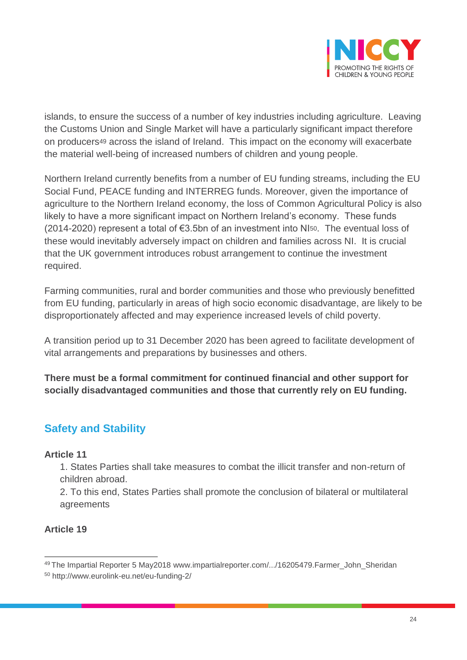

islands, to ensure the success of a number of key industries including agriculture. Leaving the Customs Union and Single Market will have a particularly significant impact therefore on producers<sup>49</sup> across the island of Ireland. This impact on the economy will exacerbate the material well-being of increased numbers of children and young people.

Northern Ireland currently benefits from a number of EU funding streams, including the EU Social Fund, PEACE funding and INTERREG funds. Moreover, given the importance of agriculture to the Northern Ireland economy, the loss of Common Agricultural Policy is also likely to have a more significant impact on Northern Ireland's economy. These funds (2014-2020) represent a total of €3.5bn of an investment into NI50. The eventual loss of these would inevitably adversely impact on children and families across NI. It is crucial that the UK government introduces robust arrangement to continue the investment required.

Farming communities, rural and border communities and those who previously benefitted from EU funding, particularly in areas of high socio economic disadvantage, are likely to be disproportionately affected and may experience increased levels of child poverty.

A transition period up to 31 December 2020 has been agreed to facilitate development of vital arrangements and preparations by businesses and others.

**There must be a formal commitment for continued financial and other support for socially disadvantaged communities and those that currently rely on EU funding.** 

# **Safety and Stability**

### **Article 11**

1. States Parties shall take measures to combat the illicit transfer and non-return of children abroad.

2. To this end, States Parties shall promote the conclusion of bilateral or multilateral agreements

### **Article 19**

 $\overline{a}$ 49 The Impartial Reporter 5 May2018 www.impartialreporter.com/.../16205479.Farmer\_John\_Sheridan

<sup>50</sup> http://www.eurolink-eu.net/eu-funding-2/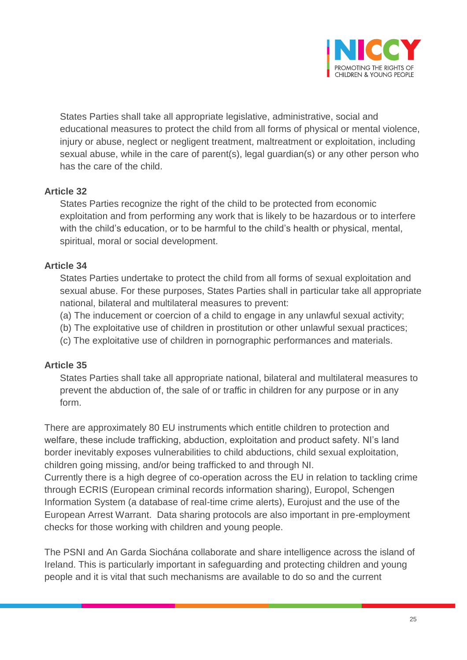

States Parties shall take all appropriate legislative, administrative, social and educational measures to protect the child from all forms of physical or mental violence, injury or abuse, neglect or negligent treatment, maltreatment or exploitation, including sexual abuse, while in the care of parent(s), legal guardian(s) or any other person who has the care of the child.

### **Article 32**

States Parties recognize the right of the child to be protected from economic exploitation and from performing any work that is likely to be hazardous or to interfere with the child's education, or to be harmful to the child's health or physical, mental, spiritual, moral or social development.

#### **Article 34**

States Parties undertake to protect the child from all forms of sexual exploitation and sexual abuse. For these purposes, States Parties shall in particular take all appropriate national, bilateral and multilateral measures to prevent:

- (a) The inducement or coercion of a child to engage in any unlawful sexual activity;
- (b) The exploitative use of children in prostitution or other unlawful sexual practices;
- (c) The exploitative use of children in pornographic performances and materials.

#### **Article 35**

States Parties shall take all appropriate national, bilateral and multilateral measures to prevent the abduction of, the sale of or traffic in children for any purpose or in any form.

There are approximately 80 EU instruments which entitle children to protection and welfare, these include trafficking, abduction, exploitation and product safety. NI's land border inevitably exposes vulnerabilities to child abductions, child sexual exploitation, children going missing, and/or being trafficked to and through NI.

Currently there is a high degree of co-operation across the EU in relation to tackling crime through ECRIS (European criminal records information sharing), Europol, Schengen Information System (a database of real-time crime alerts), Eurojust and the use of the European Arrest Warrant. Data sharing protocols are also important in pre-employment checks for those working with children and young people.

The PSNI and An Garda Siochána collaborate and share intelligence across the island of Ireland. This is particularly important in safeguarding and protecting children and young people and it is vital that such mechanisms are available to do so and the current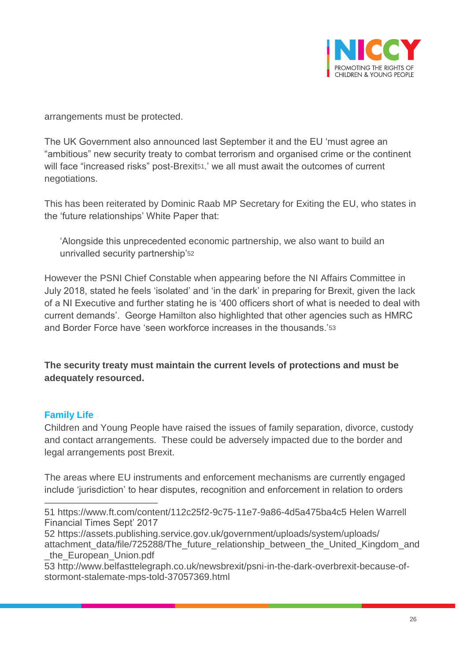

arrangements must be protected.

The UK Government also announced last September it and the EU 'must agree an "ambitious" new security treaty to combat terrorism and organised crime or the continent will face "increased risks" post-Brexit<sup>51</sup>.' we all must await the outcomes of current negotiations.

This has been reiterated by Dominic Raab MP Secretary for Exiting the EU, who states in the 'future relationships' White Paper that:

'Alongside this unprecedented economic partnership, we also want to build an unrivalled security partnership'<sup>52</sup>

However the PSNI Chief Constable when appearing before the NI Affairs Committee in July 2018, stated he feels 'isolated' and 'in the dark' in preparing for Brexit, given the lack of a NI Executive and further stating he is '400 officers short of what is needed to deal with current demands'. George Hamilton also highlighted that other agencies such as HMRC and Border Force have 'seen workforce increases in the thousands.'<sup>53</sup>

## **The security treaty must maintain the current levels of protections and must be adequately resourced.**

### **Family Life**

Children and Young People have raised the issues of family separation, divorce, custody and contact arrangements. These could be adversely impacted due to the border and legal arrangements post Brexit.

The areas where EU instruments and enforcement mechanisms are currently engaged include 'jurisdiction' to hear disputes, recognition and enforcement in relation to orders

52 [https://assets.publishing.service.gov.uk/government/uploads/system/uploads/](https://assets.publishing.service.gov.uk/government/uploads/system/uploads/%20attachment_data/file/725288/The_future_relationship_between_the_United_Kingdom_and_the_European_Union.pdf)  attachment data/file/725288/The future relationship between the United Kingdom and the European Union.pdf

53 [http://www.belfasttelegraph.co.uk/newsbrexit/psni-in-the-dark-overbrexit-because-of](http://www.belfasttelegraph.co.uk/newsbrexit/psni-in-the-dark-overbrexit-because-of-stormont-stalemate-mps-told-37057369.html)[stormont-stalemate-mps-told-37057369.html](http://www.belfasttelegraph.co.uk/newsbrexit/psni-in-the-dark-overbrexit-because-of-stormont-stalemate-mps-told-37057369.html)

 $\overline{a}$ 51 <https://www.ft.com/content/112c25f2-9c75-11e7-9a86-4d5a475ba4c5> Helen Warrell Financial Times Sept' 2017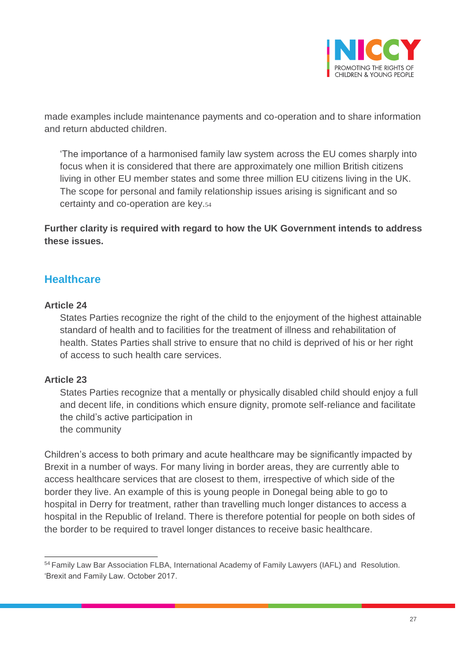

made examples include maintenance payments and co-operation and to share information and return abducted children.

'The importance of a harmonised family law system across the EU comes sharply into focus when it is considered that there are approximately one million British citizens living in other EU member states and some three million EU citizens living in the UK. The scope for personal and family relationship issues arising is significant and so certainty and co-operation are key.<sup>54</sup>

**Further clarity is required with regard to how the UK Government intends to address these issues.**

# **Healthcare**

#### **Article 24**

States Parties recognize the right of the child to the enjoyment of the highest attainable standard of health and to facilities for the treatment of illness and rehabilitation of health. States Parties shall strive to ensure that no child is deprived of his or her right of access to such health care services.

### **Article 23**

States Parties recognize that a mentally or physically disabled child should enjoy a full and decent life, in conditions which ensure dignity, promote self-reliance and facilitate the child's active participation in the community

Children's access to both primary and acute healthcare may be significantly impacted by Brexit in a number of ways. For many living in border areas, they are currently able to access healthcare services that are closest to them, irrespective of which side of the border they live. An example of this is young people in Donegal being able to go to hospital in Derry for treatment, rather than travelling much longer distances to access a hospital in the Republic of Ireland. There is therefore potential for people on both sides of the border to be required to travel longer distances to receive basic healthcare.

 $\overline{a}$ <sup>54</sup> Family Law Bar Association FLBA, International Academy of Family Lawyers (IAFL) and Resolution. 'Brexit and Family Law. October 2017.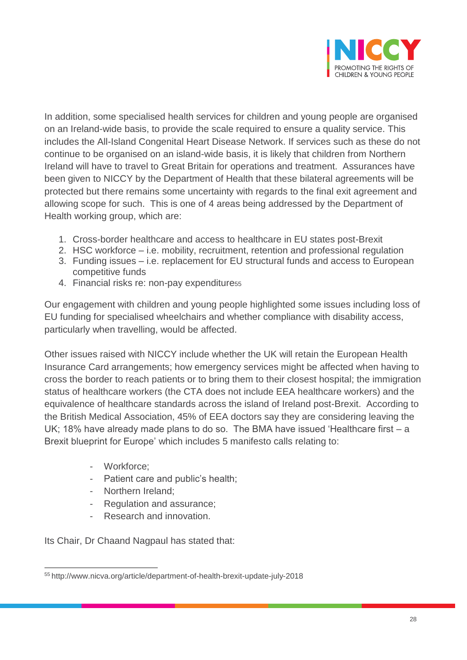

In addition, some specialised health services for children and young people are organised on an Ireland-wide basis, to provide the scale required to ensure a quality service. This includes the All-Island Congenital Heart Disease Network. If services such as these do not continue to be organised on an island-wide basis, it is likely that children from Northern Ireland will have to travel to Great Britain for operations and treatment. Assurances have been given to NICCY by the Department of Health that these bilateral agreements will be protected but there remains some uncertainty with regards to the final exit agreement and allowing scope for such. This is one of 4 areas being addressed by the Department of Health working group, which are:

- 1. Cross-border healthcare and access to healthcare in EU states post-Brexit
- 2. HSC workforce i.e. mobility, recruitment, retention and professional regulation
- 3. Funding issues i.e. replacement for EU structural funds and access to European competitive funds
- 4. Financial risks re: non-pay expenditure<sub>55</sub>

Our engagement with children and young people highlighted some issues including loss of EU funding for specialised wheelchairs and whether compliance with disability access, particularly when travelling, would be affected.

Other issues raised with NICCY include whether the UK will retain the European Health Insurance Card arrangements; how emergency services might be affected when having to cross the border to reach patients or to bring them to their closest hospital; the immigration status of healthcare workers (the CTA does not include EEA healthcare workers) and the equivalence of healthcare standards across the island of Ireland post-Brexit. According to the British Medical Association, 45% of EEA doctors say they are considering leaving the UK; 18% have already made plans to do so. The BMA have issued 'Healthcare first – a Brexit blueprint for Europe' which includes 5 manifesto calls relating to:

- Workforce:
- Patient care and public's health;
- Northern Ireland;
- Regulation and assurance;
- Research and innovation.

Its Chair, Dr Chaand Nagpaul has stated that:

 $\overline{a}$ <sup>55</sup> <http://www.nicva.org/article/department-of-health-brexit-update-july-2018>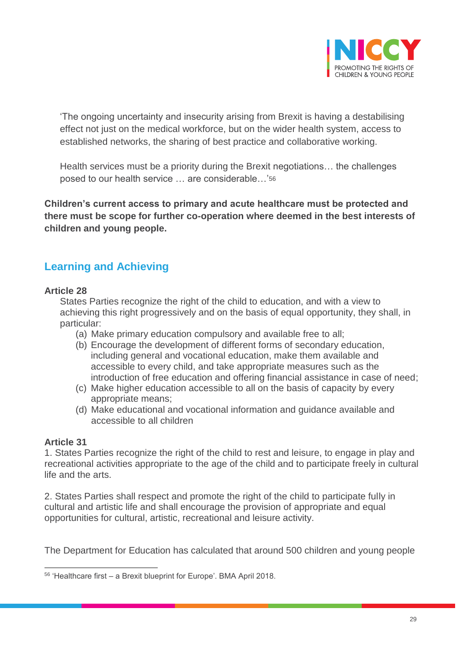

'The ongoing uncertainty and insecurity arising from Brexit is having a destabilising effect not just on the medical workforce, but on the wider health system, access to established networks, the sharing of best practice and collaborative working.

Health services must be a priority during the Brexit negotiations… the challenges posed to our health service … are considerable…'<sup>56</sup>

**Children's current access to primary and acute healthcare must be protected and there must be scope for further co-operation where deemed in the best interests of children and young people.** 

# **Learning and Achieving**

#### **Article 28**

States Parties recognize the right of the child to education, and with a view to achieving this right progressively and on the basis of equal opportunity, they shall, in particular:

- (a) Make primary education compulsory and available free to all;
- (b) Encourage the development of different forms of secondary education, including general and vocational education, make them available and accessible to every child, and take appropriate measures such as the introduction of free education and offering financial assistance in case of need;
- (c) Make higher education accessible to all on the basis of capacity by every appropriate means;
- (d) Make educational and vocational information and guidance available and accessible to all children

#### **Article 31**

 $\overline{a}$ 

1. States Parties recognize the right of the child to rest and leisure, to engage in play and recreational activities appropriate to the age of the child and to participate freely in cultural life and the arts.

2. States Parties shall respect and promote the right of the child to participate fully in cultural and artistic life and shall encourage the provision of appropriate and equal opportunities for cultural, artistic, recreational and leisure activity.

The Department for Education has calculated that around 500 children and young people

<sup>56</sup> 'Healthcare first – a Brexit blueprint for Europe'. BMA April 2018.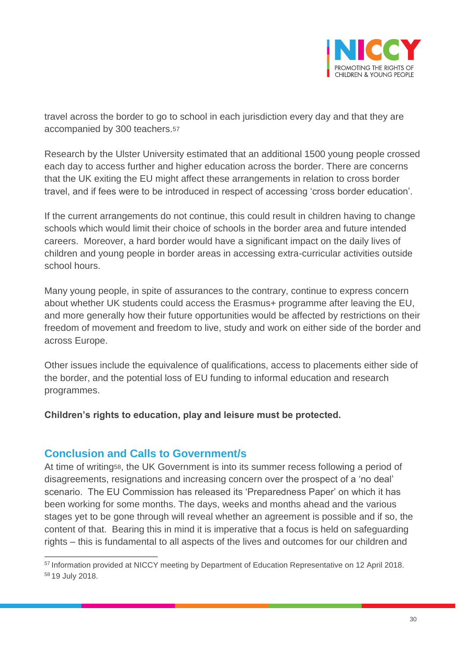

travel across the border to go to school in each jurisdiction every day and that they are accompanied by 300 teachers.<sup>57</sup>

Research by the Ulster University estimated that an additional 1500 young people crossed each day to access further and higher education across the border. There are concerns that the UK exiting the EU might affect these arrangements in relation to cross border travel, and if fees were to be introduced in respect of accessing 'cross border education'.

If the current arrangements do not continue, this could result in children having to change schools which would limit their choice of schools in the border area and future intended careers. Moreover, a hard border would have a significant impact on the daily lives of children and young people in border areas in accessing extra-curricular activities outside school hours.

Many young people, in spite of assurances to the contrary, continue to express concern about whether UK students could access the Erasmus+ programme after leaving the EU, and more generally how their future opportunities would be affected by restrictions on their freedom of movement and freedom to live, study and work on either side of the border and across Europe.

Other issues include the equivalence of qualifications, access to placements either side of the border, and the potential loss of EU funding to informal education and research programmes.

**Children's rights to education, play and leisure must be protected.**

# **Conclusion and Calls to Government/s**

At time of writing58, the UK Government is into its summer recess following a period of disagreements, resignations and increasing concern over the prospect of a 'no deal' scenario. The EU Commission has released its 'Preparedness Paper' on which it has been working for some months. The days, weeks and months ahead and the various stages yet to be gone through will reveal whether an agreement is possible and if so, the content of that. Bearing this in mind it is imperative that a focus is held on safeguarding rights – this is fundamental to all aspects of the lives and outcomes for our children and

 $\overline{a}$ <sup>57</sup> Information provided at NICCY meeting by Department of Education Representative on 12 April 2018. <sup>58</sup> 19 July 2018.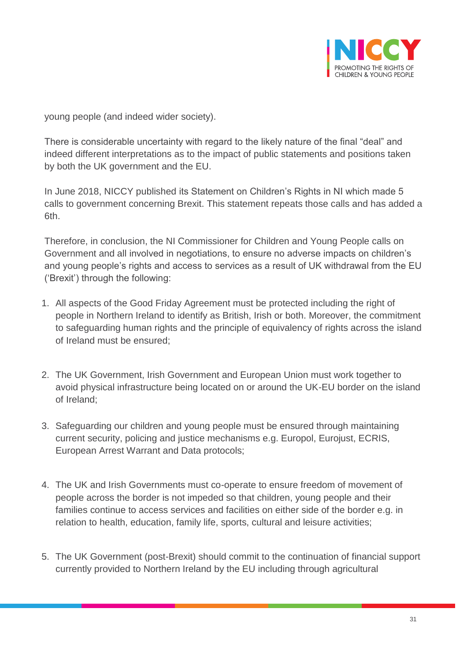

young people (and indeed wider society).

There is considerable uncertainty with regard to the likely nature of the final "deal" and indeed different interpretations as to the impact of public statements and positions taken by both the UK government and the EU.

In June 2018, NICCY published its Statement on Children's Rights in NI which made 5 calls to government concerning Brexit. This statement repeats those calls and has added a 6th.

Therefore, in conclusion, the NI Commissioner for Children and Young People calls on Government and all involved in negotiations, to ensure no adverse impacts on children's and young people's rights and access to services as a result of UK withdrawal from the EU ('Brexit') through the following:

- 1. All aspects of the Good Friday Agreement must be protected including the right of people in Northern Ireland to identify as British, Irish or both. Moreover, the commitment to safeguarding human rights and the principle of equivalency of rights across the island of Ireland must be ensured;
- 2. The UK Government, Irish Government and European Union must work together to avoid physical infrastructure being located on or around the UK-EU border on the island of Ireland;
- 3. Safeguarding our children and young people must be ensured through maintaining current security, policing and justice mechanisms e.g. Europol, Eurojust, ECRIS, European Arrest Warrant and Data protocols;
- 4. The UK and Irish Governments must co-operate to ensure freedom of movement of people across the border is not impeded so that children, young people and their families continue to access services and facilities on either side of the border e.g. in relation to health, education, family life, sports, cultural and leisure activities;
- 5. The UK Government (post-Brexit) should commit to the continuation of financial support currently provided to Northern Ireland by the EU including through agricultural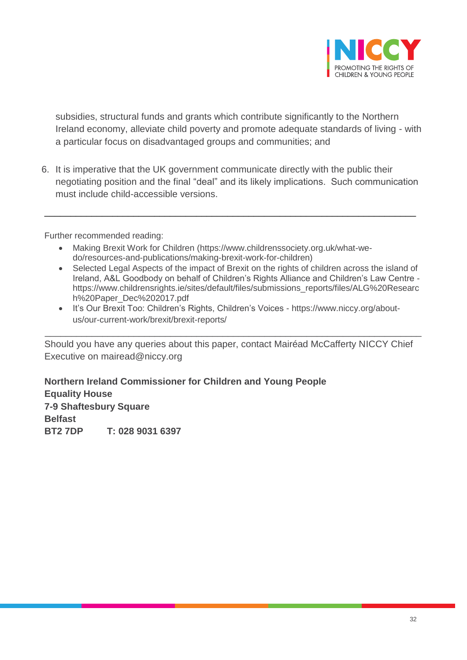

subsidies, structural funds and grants which contribute significantly to the Northern Ireland economy, alleviate child poverty and promote adequate standards of living - with a particular focus on disadvantaged groups and communities; and

6. It is imperative that the UK government communicate directly with the public their negotiating position and the final "deal" and its likely implications. Such communication must include child-accessible versions.

\_\_\_\_\_\_\_\_\_\_\_\_\_\_\_\_\_\_\_\_\_\_\_\_\_\_\_\_\_\_\_\_\_\_\_\_\_\_\_\_\_\_\_\_\_\_\_\_\_\_\_\_\_\_\_\_\_\_\_\_\_\_\_\_\_\_\_\_\_\_\_

Further recommended reading:

- Making Brexit Work for Children [\(https://www.childrenssociety.org.uk/what-we](https://www.childrenssociety.org.uk/what-we-do/resources-and-publications/making-brexit-work-for-children)[do/resources-and-publications/making-brexit-work-for-children\)](https://www.childrenssociety.org.uk/what-we-do/resources-and-publications/making-brexit-work-for-children)
- Selected Legal Aspects of the impact of Brexit on the rights of children across the island of Ireland, A&L Goodbody on behalf of Children's Rights Alliance and Children's Law Centre [https://www.childrensrights.ie/sites/default/files/submissions\\_reports/files/ALG%20Researc](https://www.childrensrights.ie/sites/default/files/submissions_reports/files/ALG%20Research%20Paper_Dec%202017.pdf) [h%20Paper\\_Dec%202017.pdf](https://www.childrensrights.ie/sites/default/files/submissions_reports/files/ALG%20Research%20Paper_Dec%202017.pdf)
- It's Our Brexit Too: Children's Rights, Children's Voices [https://www.niccy.org/about](https://www.niccy.org/about-us/our-current-work/brexit/brexit-reports/)[us/our-current-work/brexit/brexit-reports/](https://www.niccy.org/about-us/our-current-work/brexit/brexit-reports/)

\_\_\_\_\_\_\_\_\_\_\_\_\_\_\_\_\_\_\_\_\_\_\_\_\_\_\_\_\_\_\_\_\_\_\_\_\_\_\_\_\_\_\_\_\_\_\_\_\_\_\_\_\_\_\_\_\_\_\_\_\_\_\_\_\_\_\_\_\_\_\_\_

Should you have any queries about this paper, contact Mairéad McCafferty NICCY Chief Executive on [mairead@niccy.org](mailto:mairead@niccy.org)

**Northern Ireland Commissioner for Children and Young People Equality House 7-9 Shaftesbury Square Belfast BT2 7DP T: 028 9031 6397**